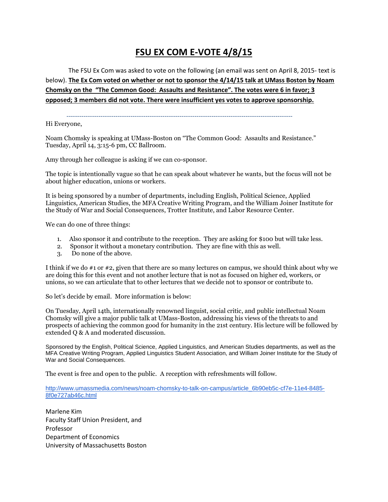## **FSU EX COM E-VOTE 4/8/15**

The FSU Ex Com was asked to vote on the following (an email was sent on April 8, 2015- text is below). **The Ex Com voted on whether or not to sponsor the 4/14/15 talk at UMass Boston by Noam Chomsky on the "The Common Good: Assaults and Resistance". The votes were 6 in favor; 3 opposed; 3 members did not vote. There were insufficient yes votes to approve sponsorship.**

----------------------------------------------------------------------------------------------------------

Hi Everyone,

Noam Chomsky is speaking at UMass-Boston on "The Common Good: Assaults and Resistance." Tuesday, April 14, 3:15-6 pm, CC Ballroom.

Amy through her colleague is asking if we can co-sponsor.

The topic is intentionally vague so that he can speak about whatever he wants, but the focus will not be about higher education, unions or workers.

It is being sponsored by a number of departments, including English, Political Science, Applied Linguistics, American Studies, the MFA Creative Writing Program, and the William Joiner Institute for the Study of War and Social Consequences, Trotter Institute, and Labor Resource Center.

We can do one of three things:

- 1. Also sponsor it and contribute to the reception. They are asking for \$100 but will take less.
- 2. Sponsor it without a monetary contribution. They are fine with this as well.
- 3. Do none of the above.

I think if we do #1 or #2, given that there are so many lectures on campus, we should think about why we are doing this for this event and not another lecture that is not as focused on higher ed, workers, or unions, so we can articulate that to other lectures that we decide not to sponsor or contribute to.

So let's decide by email. More information is below:

On Tuesday, April 14th, internationally renowned linguist, social critic, and public intellectual Noam Chomsky will give a major public talk at UMass-Boston, addressing his views of the threats to and prospects of achieving the common good for humanity in the 21st century. His lecture will be followed by extended Q & A and moderated discussion.

Sponsored by the English, Political Science, Applied Linguistics, and American Studies departments, as well as the MFA Creative Writing Program, Applied Linguistics Student Association, and William Joiner Institute for the Study of War and Social Consequences.

The event is free and open to the public. A reception with refreshments will follow.

[http://www.umassmedia.com/news/noam-chomsky-to-talk-on-campus/article\\_6b90eb5c-cf7e-11e4-8485-](http://www.umassmedia.com/news/noam-chomsky-to-talk-on-campus/article_6b90eb5c-cf7e-11e4-8485-8f0e727ab46c.html) [8f0e727ab46c.html](http://www.umassmedia.com/news/noam-chomsky-to-talk-on-campus/article_6b90eb5c-cf7e-11e4-8485-8f0e727ab46c.html)

Marlene Kim Faculty Staff Union President, and Professor Department of Economics University of Massachusetts Boston